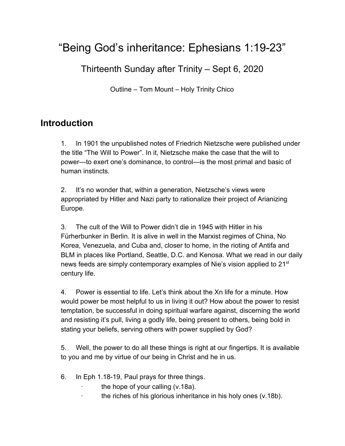# "Being God's inheritance: Ephesians 1:19-23"

Thirteenth Sunday after Trinity – Sept 6, 2020

Outline – Tom Mount – Holy Trinity Chico

# **Introduction**

1. In 1901 the unpublished notes of Friedrich Nietzsche were published under the title "The Will to Power". In it, Nietzsche make the case that the will to power—to exert one's dominance, to control—is the most primal and basic of human instincts.

2. It's no wonder that, within a generation, Nietzsche's views were appropriated by Hitler and Nazi party to rationalize their project of Arianizing Europe.

3. The cult of the Will to Power didn't die in 1945 with Hitler in his Fürherbunker in Berlin. It is alive in well in the Marxist regimes of China, No Korea, Venezuela, and Cuba and, closer to home, in the rioting of Antifa and BLM in places like Portland, Seattle, D.C. and Kenosa. What we read in our daily news feeds are simply contemporary examples of Nie's vision applied to 21<sup>st</sup> century life.

4. Power is essential to life. Let's think about the Xn life for a minute. How would power be most helpful to us in living it out? How about the power to resist temptation, be successful in doing spiritual warfare against, discerning the world and resisting it's pull, living a godly life, being present to others, being bold in stating your beliefs, serving others with power supplied by God?

5. Well, the power to do all these things is right at our fingertips. It is available to you and me by virtue of our being in Christ and he in us.

- 6. In Eph 1.18-19, Paul prays for three things.
	- the hope of your calling  $(v.18a)$ .
	- the riches of his glorious inheritance in his holy ones (v.18b).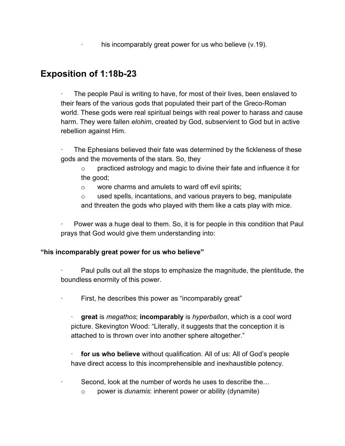his incomparably great power for us who believe (v.19).

# **Exposition of 1:18b-23**

The people Paul is writing to have, for most of their lives, been enslaved to their fears of the various gods that populated their part of the Greco-Roman world. These gods were real spiritual beings with real power to harass and cause harm. They were fallen *elohim*, created by God, subservient to God but in active rebellion against Him.

The Ephesians believed their fate was determined by the fickleness of these gods and the movements of the stars. So, they

 $\circ$  practiced astrology and magic to divine their fate and influence it for the good;

o wore charms and amulets to ward off evil spirits;

o used spells, incantations, and various prayers to beg, manipulate and threaten the gods who played with them like a cats play with mice.

· Power was a huge deal to them. So, it is for people in this condition that Paul prays that God would give them understanding into:

#### **"his incomparably great power for us who believe"**

· Paul pulls out all the stops to emphasize the magnitude, the plentitude, the boundless enormity of this power.

First, he describes this power as "incomparably great"

· **great** is *megathos*; **incomparably** is *hyperballon*, which is a cool word picture. Skevington Wood: "Literally, it suggests that the conception it is attached to is thrown over into another sphere altogether."

**for us who believe** without qualification. All of us: All of God's people have direct access to this incomprehensible and inexhaustible potency.

Second, look at the number of words he uses to describe the...

o power is *dunamis*: inherent power or ability (dynamite)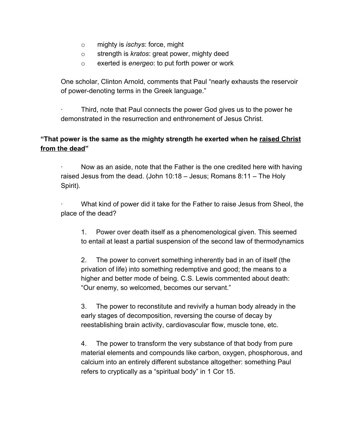- o mighty is *ischys*: force, might
- o strength is *kratos*: great power, mighty deed
- o exerted is *energeo*: to put forth power or work

One scholar, Clinton Arnold, comments that Paul "nearly exhausts the reservoir of power-denoting terms in the Greek language."

· Third, note that Paul connects the power God gives us to the power he demonstrated in the resurrection and enthronement of Jesus Christ.

#### **"That power is the same as the mighty strength he exerted when he raised Christ from the dead"**

Now as an aside, note that the Father is the one credited here with having raised Jesus from the dead. (John 10:18 – Jesus; Romans 8:11 – The Holy Spirit).

What kind of power did it take for the Father to raise Jesus from Sheol, the place of the dead?

1. Power over death itself as a phenomenological given. This seemed to entail at least a partial suspension of the second law of thermodynamics

2. The power to convert something inherently bad in an of itself (the privation of life) into something redemptive and good; the means to a higher and better mode of being. C.S. Lewis commented about death: "Our enemy, so welcomed, becomes our servant."

3. The power to reconstitute and revivify a human body already in the early stages of decomposition, reversing the course of decay by reestablishing brain activity, cardiovascular flow, muscle tone, etc.

4. The power to transform the very substance of that body from pure material elements and compounds like carbon, oxygen, phosphorous, and calcium into an entirely different substance altogether: something Paul refers to cryptically as a "spiritual body" in 1 Cor 15.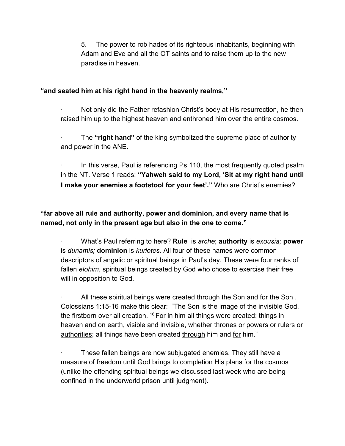5. The power to rob hades of its righteous inhabitants, beginning with Adam and Eve and all the OT saints and to raise them up to the new paradise in heaven.

#### **"and seated him at his right hand in the heavenly realms,"**

Not only did the Father refashion Christ's body at His resurrection, he then raised him up to the highest heaven and enthroned him over the entire cosmos.

The "right hand" of the king symbolized the supreme place of authority and power in the ANE.

In this verse, Paul is referencing Ps 110, the most frequently quoted psalm in the NT. Verse 1 reads: **"Yahweh said to my Lord, 'Sit at my right hand until I make your enemies a footstool for your feet'."** Who are Christ's enemies?

### **"far above all rule and authority, power and dominion, and every name that is named, not only in the present age but also in the one to come."**

· What's Paul referring to here? **Rule** is *arche*; **authority** is *exousia;* **power** is *dunamis;* **dominion** is *kuriotes.* All four of these names were common descriptors of angelic or spiritual beings in Paul's day. These were four ranks of fallen *elohim*, spiritual beings created by God who chose to exercise their free will in opposition to God.

All these spiritual beings were created through the Son and for the Son. Colossians 1:15-16 make this clear: "The Son is the image of the invisible God, the firstborn over all creation.  $16$  For in him all things were created: things in heaven and on earth, visible and invisible, whether thrones or powers or rulers or authorities; all things have been created through him and for him."

These fallen beings are now subjugated enemies. They still have a measure of freedom until God brings to completion His plans for the cosmos (unlike the offending spiritual beings we discussed last week who are being confined in the underworld prison until judgment).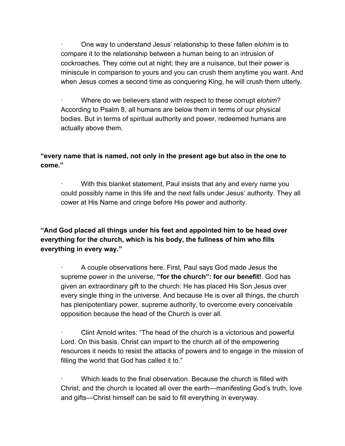· One way to understand Jesus' relationship to these fallen *elohim* is to compare it to the relationship between a human being to an intrusion of cockroaches. They come out at night; they are a nuisance, but their power is miniscule in comparison to yours and you can crush them anytime you want. And when Jesus comes a second time as conquering King, he will crush them utterly.

· Where do we believers stand with respect to these corrupt *elohim*? According to Psalm 8, all humans are below them in terms of our physical bodies. But in terms of spiritual authority and power, redeemed humans are actually above them.

#### **"every name that is named, not only in the present age but also in the one to come."**

With this blanket statement, Paul insists that any and every name you could possibly name in this life and the next falls under Jesus' authority. They all cower at His Name and cringe before His power and authority.

### **"And God placed all things under his feet and appointed him to be head over everything for the church, which is his body, the fullness of him who fills everything in every way."**

· A couple observations here. First, Paul says God made Jesus the supreme power in the universe, **"for the church": for our benefit!**. God has given an extraordinary gift to the church: He has placed His Son Jesus over every single thing in the universe. And because He is over all things, the church has plenipotentiary power, supreme authority, to overcome every conceivable opposition because the head of the Church is over all.

· Clint Arnold writes: "The head of the church is a victorious and powerful Lord. On this basis, Christ can impart to the church all of the empowering resources it needs to resist the attacks of powers and to engage in the mission of filling the world that God has called it to."

· Which leads to the final observation. Because the church is filled with Christ, and the church is located all over the earth—manifesting God's truth, love and gifts—Christ himself can be said to fill everything in everyway.